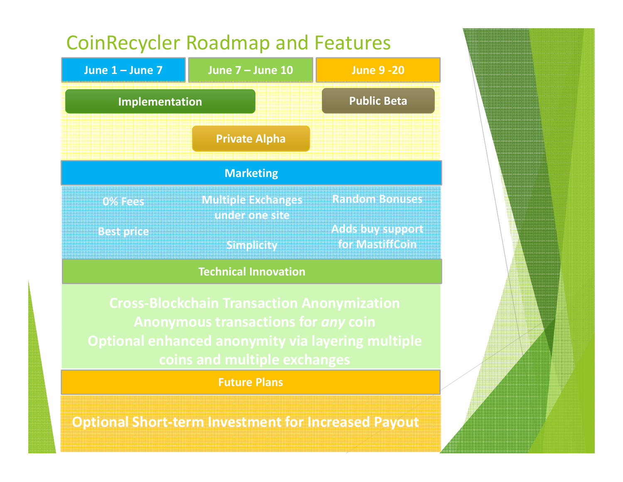

Future Plans

Optional Short-term Investment for Increased Payout